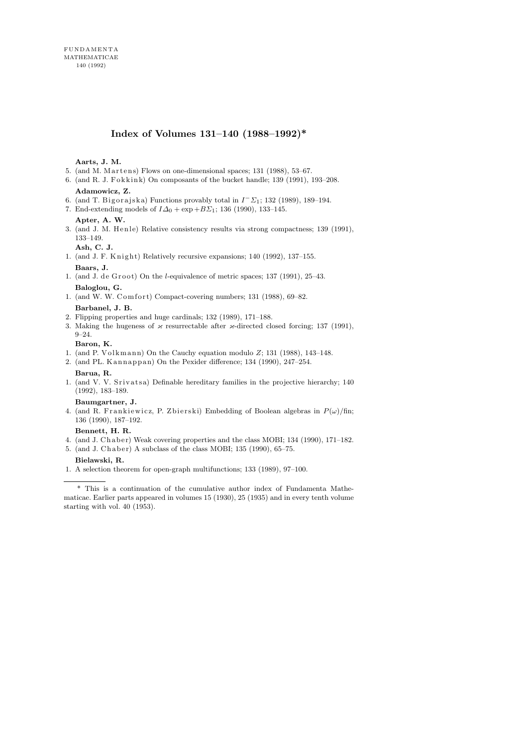# Index of Volumes 131–140 (1988–1992)\*

# **Aarts, J. M.**

- 5. (and M. Martens) Flows on one-dimensional spaces;  $131$  (1988),  $53-67$ .
- 6. (and R. J. Fokkink) On composants of the bucket handle; 139 (1991), 193-208.

# **Adamowicz, Z.**

- 6. (and T. Bigorajska) Functions provably total in  $I^-\Sigma_1$ ; 132 (1989), 189-194.
- 7. End-extending models of  $I\Delta_0 + \exp + B\Sigma_1$ ; 136 (1990), 133–145.

# **Apter, A. W.**

3. (and J. M. Henle) Relative consistency results via strong compactness; 139 (1991), 133–149.

# **Ash, C. J.**

- 1. (and J. F. Knight) Relatively recursive expansions;  $140$  ( $1992$ ),  $137-155$ . **Baars, J.**
- 1. (and J. de  $G$ root) On the *l*-equivalence of metric spaces; 137 (1991), 25–43. **Baloglou, G.**
- 1. (and W. W. Comfort) Compact-covering numbers; 131 (1988), 69-82. **Barbanel, J. B.**
- 2. Flipping properties and huge cardinals; 132 (1989), 171–188.
- 3. Making the hugeness of  $\varkappa$  resurrectable after  $\varkappa$ -directed closed forcing; 137 (1991), 9–24.

## **Baron, K.**

- 1. (and P. Volkmann) On the Cauchy equation modulo  $Z$ ; 131 (1988), 143-148.
- 2. (and PL. Kannappan) On the Pexider difference; 134 (1990), 247-254. **Barua, R.**
- 1. (and V. V. Srivatsa) Definable hereditary families in the projective hierarchy;  $140$ (1992), 183–189.

#### **Baumgartner, J.**

4. (and R. Frankiewicz, P. Zbierski) Embedding of Boolean algebras in  $P(\omega)/\text{fin}$ ; 136 (1990), 187–192.

#### **Bennett, H. R.**

- 4. (and J. Chaber) Weak covering properties and the class MOBI; 134 (1990), 171–182.
- 5. (and J. Chaber) A subclass of the class MOBI; 135 (1990), 65-75.

## **Bielawski, R.**

1. A selection theorem for open-graph multifunctions; 133 (1989), 97–100.

<sup>\*</sup> This is a continuation of the cumulative author index of Fundamenta Mathematicae. Earlier parts appeared in volumes 15 (1930), 25 (1935) and in every tenth volume starting with vol. 40 (1953).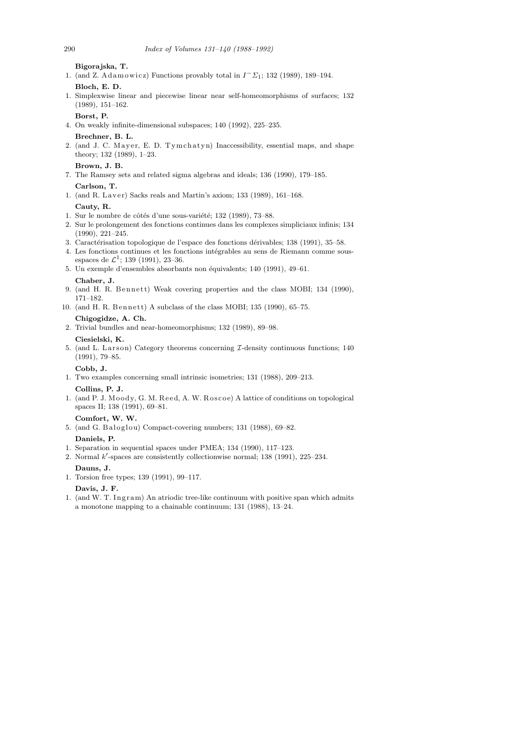**Bigorajska, T.**

1. (and Z. Adamowicz) Functions provably total in  $I^-\Sigma_1$ ; 132 (1989), 189-194.

**Bloch, E. D.**

1. Simplexwise linear and piecewise linear near self-homeomorphisms of surfaces; 132 (1989), 151–162.

**Borst, P.**

- 4. On weakly infinite-dimensional subspaces; 140 (1992), 225–235.
- **Brechner, B. L.**
- 2. (and J. C. Mayer, E. D. Tymchatyn) Inaccessibility, essential maps, and shape theory; 132 (1989), 1–23.
	- **Brown, J. B.**
- 7. The Ramsey sets and related sigma algebras and ideals; 136 (1990), 179–185. **Carlson, T.**
- 1. (and R. Laver) Sacks reals and Martin's axiom; 133 (1989), 161-168. **Cauty, R.**
- 1. Sur le nombre de côtés d'une sous-variété; 132 (1989), 73–88.
- 2. Sur le prolongement des fonctions continues dans les complexes simpliciaux infinis; 134 (1990), 221–245.
- 3. Caractérisation topologique de l'espace des fonctions dérivables; 138 (1991), 35–58.
- 4. Les fonctions continues et les fonctions intégrables au sens de Riemann comme sousespaces de  $\mathcal{L}^1$ ; 139 (1991), 23–36.
- 5. Un exemple d'ensembles absorbants non équivalents; 140 (1991), 49–61. **Chaber, J.**
- 9. (and H. R. Bennett) Weak covering properties and the class MOBI; 134 (1990), 171–182.
- 10. (and H. R. Bennett) A subclass of the class MOBI; 135 (1990), 65-75.

# **Chigogidze, A. Ch.**

- 2. Trivial bundles and near-homeomorphisms; 132 (1989), 89–98. **Ciesielski, K.**
- 5. (and L. Larson) Category theorems concerning  $\mathcal{I}\text{-density$  continuous functions; 140 (1991), 79–85.

# **Cobb, J.**

- 1. Two examples concerning small intrinsic isometries; 131 (1988), 209–213. **Collins, P. J.**
- 1. (and P. J. Moody, G. M. Reed, A. W. Roscoe) A lattice of conditions on topological spaces II; 138 (1991), 69–81.

# **Comfort, W. W.**

- 5. (and G. Baloglou) Compact-covering numbers; 131 (1988), 69-82. **Daniels, P.**
- 1. Separation in sequential spaces under PMEA; 134 (1990), 117–123.
- 2. Normal  $k'$ -spaces are consistently collectionwise normal; 138 (1991), 225-234.

# **Dauns, J.**

1. Torsion free types; 139 (1991), 99–117.

# **Davis, J. F.**

1. (and W. T. Ingram) An atriodic tree-like continuum with positive span which admits a monotone mapping to a chainable continuum; 131 (1988), 13–24.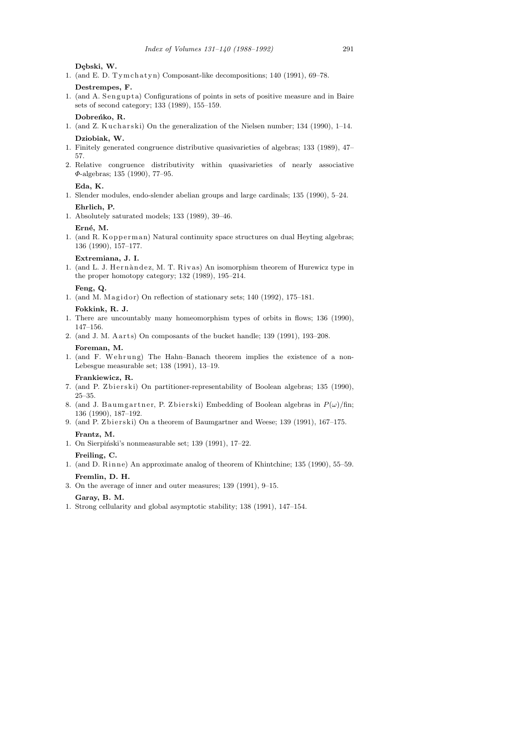Debski, W.

1. (and E. D. Tym $\ch{atyn}$ ) Composant-like decompositions; 140 (1991), 69–78.

**Destrempes, F.**

1. (and A. Sengupta) Configurations of points in sets of positive measure and in Baire sets of second category; 133 (1989), 155–159.

Dobreńko, R.

1. (and Z. Kucharski) On the generalization of the Nielsen number;  $134$  (1990),  $1-14$ . **Dziobiak, W.**

- 1. Finitely generated congruence distributive quasivarieties of algebras; 133 (1989), 47– 57.
- 2. Relative congruence distributivity within quasivarieties of nearly associative Φ-algebras; 135 (1990), 77–95.

#### **Eda, K.**

- 1. Slender modules, endo-slender abelian groups and large cardinals; 135 (1990), 5–24. **Ehrlich, P.**
- 1. Absolutely saturated models; 133 (1989), 39–46.

# Erné, M.

1. (and R. K opperman) Natural continuity space structures on dual Heyting algebras; 136 (1990), 157–177.

#### **Extremiana, J. I.**

1. (and L. J. Hernàndez, M. T. Rivas) An isomorphism theorem of Hurewicz type in the proper homotopy category; 132 (1989), 195–214.

# **Feng, Q.**

1. (and M. Magidor) On reflection of stationary sets;  $140$  (1992),  $175-181$ .

#### **Fokkink, R. J.**

- 1. There are uncountably many homeomorphism types of orbits in flows; 136 (1990), 147–156.
- 2. (and J. M. Aarts) On composants of the bucket handle; 139 (1991), 193-208. **Foreman, M.**
- 1. (and F. Wehrung) The Hahn–Banach theorem implies the existence of a non-Lebesgue measurable set; 138 (1991), 13–19.

#### **Frankiewicz, R.**

- 7. (and P. Zbierski) On partitioner-representability of Boolean algebras; 135 (1990), 25–35.
- 8. (and J. Baumgartner, P. Zbierski) Embedding of Boolean algebras in  $P(\omega)/\text{fin}$ ; 136 (1990), 187–192.
- 9. (and P. Zbierski) On a theorem of Baumgartner and Weese; 139 (1991), 167-175. **Frantz, M.**
- 1. On Sierpiński's nonmeasurable set; 139 (1991), 17-22.

# **Freiling, C.**

- 1. (and D. Rinne) An approximate analog of theorem of Khintchine; 135 (1990), 55–59. **Fremlin, D. H.**
- 3. On the average of inner and outer measures; 139 (1991), 9–15.

#### **Garay, B. M.**

1. Strong cellularity and global asymptotic stability; 138 (1991), 147–154.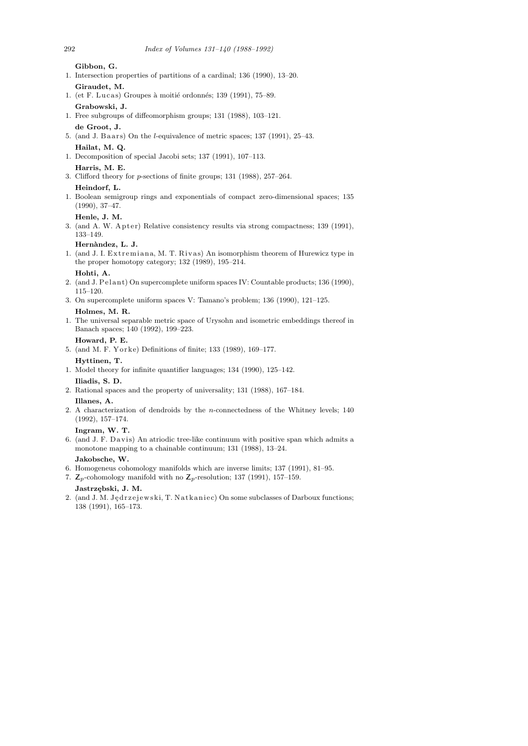**Gibbon, G.**

- 1. Intersection properties of partitions of a cardinal; 136 (1990), 13–20. **Giraudet, M.**
- 1. (et F. Lucas) Groupes à moitié ordonnés; 139 (1991), 75–89. **Grabowski, J.**
- 1. Free subgroups of diffeomorphism groups; 131 (1988), 103–121. **de Groot, J.**
- 5. (and J. Baars) On the *l*-equivalence of metric spaces;  $137$  (1991),  $25-43$ . **Hailat, M. Q.**
- 1. Decomposition of special Jacobi sets; 137 (1991), 107–113.
- **Harris, M. E.**
- 3. Clifford theory for p-sections of finite groups; 131 (1988), 257–264.

# **Heindorf, L.**

1. Boolean semigroup rings and exponentials of compact zero-dimensional spaces; 135 (1990), 37–47.

# **Henle, J. M.**

3. (and A. W. Apter) Relative consistency results via strong compactness; 139 (1991), 133–149.

# **Hern`andez, L. J.**

1. (and J. I. Extremiana, M. T. Rivas) An isomorphism theorem of Hurewicz type in the proper homotopy category; 132 (1989), 195–214.

# **Hohti, A.**

- 2. (and J. Pelant) On supercomplete uniform spaces IV: Countable products; 136 (1990), 115–120.
- 3. On supercomplete uniform spaces V: Tamano's problem; 136 (1990), 121–125. **Holmes, M. R.**
- 1. The universal separable metric space of Urysohn and isometric embeddings thereof in Banach spaces; 140 (1992), 199–223.
- **Howard, P. E.**
- 5. (and M. F. Yorke) Definitions of finite; 133 (1989), 169-177.

#### **Hyttinen, T.**

- 1. Model theory for infinite quantifier languages; 134 (1990), 125–142. **Iliadis, S. D.**
- 2. Rational spaces and the property of universality; 131 (1988), 167–184. **Illanes, A.**
- 2. A characterization of dendroids by the n-connectedness of the Whitney levels; 140 (1992), 157–174.

# **Ingram, W. T.**

6. (and J. F. Davis) An atriodic tree-like continuum with positive span which admits a monotone mapping to a chainable continuum; 131 (1988), 13–24.

# **Jakobsche, W.**

- 6. Homogeneus cohomology manifolds which are inverse limits; 137 (1991), 81–95.
- 7.  $\mathbb{Z}_p$ -cohomology manifold with no  $\mathbb{Z}_p$ -resolution; 137 (1991), 157–159.

# **Jastrz¸ebski, J. M.**

2. (and J. M. Jędrzejewski, T. Natkaniec) On some subclasses of Darboux functions; 138 (1991), 165–173.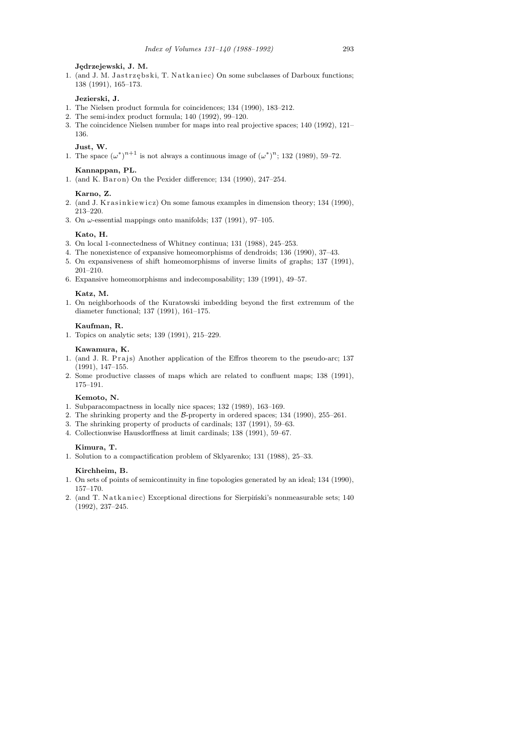#### **J¸edrzejewski, J. M.**

1. (and J. M. Jastrzębski, T. Natkaniec) On some subclasses of Darboux functions; 138 (1991), 165–173.

# **Jezierski, J.**

- 1. The Nielsen product formula for coincidences; 134 (1990), 183–212.
- 2. The semi-index product formula; 140 (1992), 99–120.
- 3. The coincidence Nielsen number for maps into real projective spaces; 140 (1992), 121– 136.

# **Just, W.**

1. The space  $(\omega^*)^{n+1}$  is not always a continuous image of  $(\omega^*)^n$ ; 132 (1989), 59–72.

#### **Kannappan, PL.**

1. (and K. B ar on) On the Pexider difference; 134 (1990), 247-254.

#### **Karno, Z.**

- 2. (and J. Krasinkiewicz) On some famous examples in dimension theory; 134 (1990), 213–220.
- 3. On  $\omega$ -essential mappings onto manifolds; 137 (1991), 97-105.

#### **Kato, H.**

- 3. On local 1-connectedness of Whitney continua; 131 (1988), 245–253.
- 4. The nonexistence of expansive homeomorphisms of dendroids; 136 (1990), 37–43.
- 5. On expansiveness of shift homeomorphisms of inverse limits of graphs; 137 (1991), 201–210.
- 6. Expansive homeomorphisms and indecomposability; 139 (1991), 49–57.

#### **Katz, M.**

1. On neighborhoods of the Kuratowski imbedding beyond the first extremum of the diameter functional; 137 (1991), 161–175.

# **Kaufman, R.**

1. Topics on analytic sets; 139 (1991), 215–229.

### **Kawamura, K.**

- 1. (and J. R. Prajs) Another application of the Effros theorem to the pseudo-arc; 137 (1991), 147–155.
- 2. Some productive classes of maps which are related to confluent maps; 138 (1991), 175–191.

#### **Kemoto, N.**

- 1. Subparacompactness in locally nice spaces; 132 (1989), 163–169.
- 2. The shrinking property and the B-property in ordered spaces; 134 (1990), 255–261.
- 3. The shrinking property of products of cardinals; 137 (1991), 59–63.
- 4. Collectionwise Hausdorffness at limit cardinals; 138 (1991), 59–67.

#### **Kimura, T.**

1. Solution to a compactification problem of Sklyarenko; 131 (1988), 25–33.

#### **Kirchheim, B.**

- 1. On sets of points of semicontinuity in fine topologies generated by an ideal; 134 (1990), 157–170.
- 2. (and T. Natkaniec) Exceptional directions for Sierpiński's nonmeasurable sets; 140 (1992), 237–245.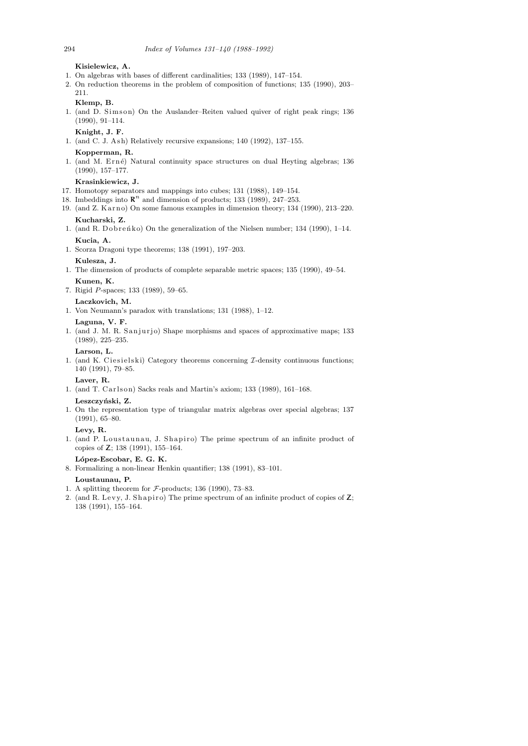**Kisielewicz, A.**

- 1. On algebras with bases of different cardinalities; 133 (1989), 147–154.
- 2. On reduction theorems in the problem of composition of functions; 135 (1990), 203– 211.
	- **Klemp, B.**
- 1. (and D. Simson) On the Auslander–Reiten valued quiver of right peak rings; 136 (1990), 91–114.
	- **Knight, J. F.**
- 1. (and C. J. Ash) Relatively recursive expansions;  $140$  (1992),  $137-155$ .
- **Kopperman, R.**
- 1. (and M. Erné) Natural continuity space structures on dual Heyting algebras; 136 (1990), 157–177.

#### **Krasinkiewicz, J.**

- 17. Homotopy separators and mappings into cubes; 131 (1988), 149–154.
- 18. Imbeddings into  $\mathbb{R}^n$  and dimension of products; 133 (1989), 247-253.
- 19. (and Z. Karno) On some famous examples in dimension theory; 134 (1990), 213–220. **Kucharski, Z.**
- 1. (and R. Dobrenko) On the generalization of the Nielsen number; 134 (1990),  $1-14$ . **Kucia, A.**
- 1. Scorza Dragoni type theorems; 138 (1991), 197–203.
- **Kulesza, J.**
- 1. The dimension of products of complete separable metric spaces; 135 (1990), 49–54. **Kunen, K.**
- 7. Rigid P-spaces; 133 (1989), 59–65.

#### **Laczkovich, M.**

1. Von Neumann's paradox with translations; 131 (1988), 1–12.

#### **Laguna, V. F.**

1. (and J. M. R. Sanjurjo) Shape morphisms and spaces of approximative maps; 133 (1989), 225–235.

#### **Larson, L.**

1. (and K. Ciesielski) Category theorems concerning  $I$ -density continuous functions; 140 (1991), 79–85.

## **Laver, R.**

1. (and T. Carlson) Sacks reals and Martin's axiom; 133 (1989),  $161-168$ .

#### **Leszczy´nski, Z.**

1. On the representation type of triangular matrix algebras over special algebras; 137 (1991), 65–80.

#### **Levy, R.**

1. (and P. Loustaunau, J. Shapiro) The prime spectrum of an infinite product of copies of Z; 138 (1991), 155–164.

# **L´opez-Escobar, E. G. K.**

8. Formalizing a non-linear Henkin quantifier; 138 (1991), 83–101.

#### **Loustaunau, P.**

- 1. A splitting theorem for  $\mathcal{F}\text{-products}$ ; 136 (1990), 73–83.
- 2. (and R. Levy, J. Shapiro) The prime spectrum of an infinite product of copies of  $Z$ ; 138 (1991), 155–164.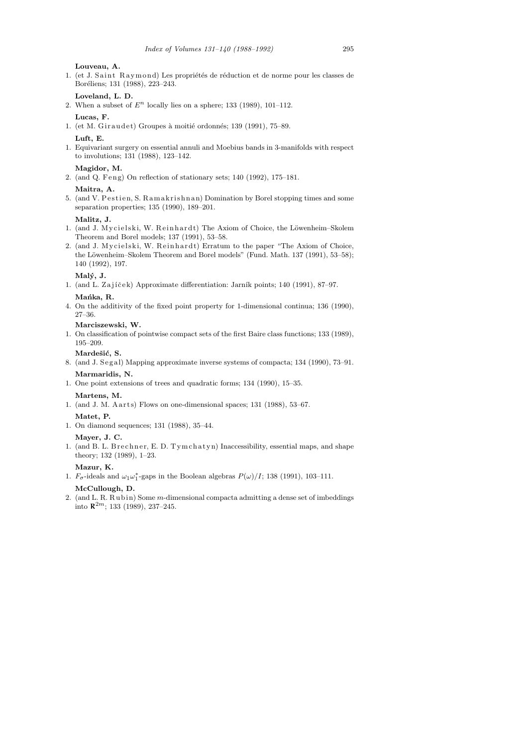**Louveau, A.**

1. (et J. Saint Raymond) Les propriétés de réduction et de norme pour les classes de Boréliens; 131 (1988), 223-243.

# **Loveland, L. D.**

2. When a subset of  $E^n$  locally lies on a sphere; 133 (1989), 101-112.

# **Lucas, F.**

1. (et M. Giraudet) Groupes à moitié ordonnés; 139 (1991), 75–89.

#### **Luft, E.**

1. Equivariant surgery on essential annuli and Moebius bands in 3-manifolds with respect to involutions; 131 (1988), 123–142.

#### **Magidor, M.**

2. (and Q. Feng) On reflection of stationary sets; 140 (1992), 175-181.

# **Maitra, A.**

5. (and V. Pestien, S. Ramakrishnan) Domination by Borel stopping times and some separation properties; 135 (1990), 189–201.

#### **Malitz, J.**

- 1. (and J. Mycielski, W. Reinhardt) The Axiom of Choice, the Löwenheim–Skolem Theorem and Borel models; 137 (1991), 53–58.
- 2. (and J. Mycielski, W. Reinhardt) Erratum to the paper "The Axiom of Choice, the Löwenheim–Skolem Theorem and Borel models" (Fund. Math. 137 (1991), 53-58); 140 (1992), 197.

## **Mal´y, J.**

1. (and L. Zajíček) Approximate differentiation: Jarník points; 140 (1991), 87–97. Mańka, R.

4. On the additivity of the fixed point property for 1-dimensional continua; 136 (1990), 27–36.

# **Marciszewski, W.**

1. On classification of pointwise compact sets of the first Baire class functions; 133 (1989), 195–209.

# Mardešić, S.

- 8. (and J. Segal) Mapping approximate inverse systems of compacta; 134 (1990), 73-91. **Marmaridis, N.**
- 1. One point extensions of trees and quadratic forms; 134 (1990), 15–35.

# **Martens, M.**

1. (and J. M. A arts) Flows on one-dimensional spaces; 131 (1988), 53–67.

#### **Matet, P.**

1. On diamond sequences; 131 (1988), 35–44.

#### **Mayer, J. C.**

1. (and B. L. Brechner, E. D. Tymchatyn) Inaccessibility, essential maps, and shape theory; 132 (1989), 1–23.

# **Mazur, K.**

1.  $F_{\sigma}$ -ideals and  $\omega_1 \omega_1^*$ -gaps in the Boolean algebras  $P(\omega)/I$ ; 138 (1991), 103–111.

# **McCullough, D.**

2. (and L. R. Rubin) Some  $m$ -dimensional compacta admitting a dense set of imbeddings into  $\mathbb{R}^{2m}$ ; 133 (1989), 237-245.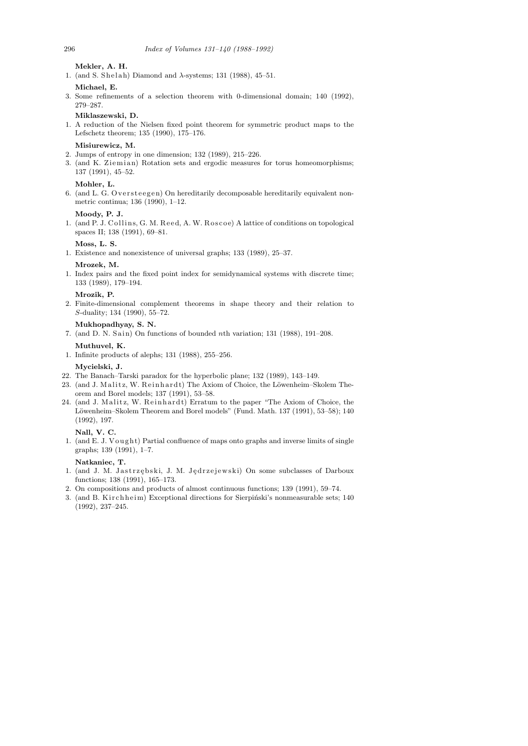**Mekler, A. H.**

1. (and S. Shelah) Diamond and  $\lambda$ -systems; 131 (1988), 45–51.

**Michael, E.**

3. Some refinements of a selection theorem with 0-dimensional domain; 140 (1992), 279–287.

**Miklaszewski, D.**

1. A reduction of the Nielsen fixed point theorem for symmetric product maps to the Lefschetz theorem; 135 (1990), 175–176.

## **Misiurewicz, M.**

- 2. Jumps of entropy in one dimension; 132 (1989), 215–226.
- 3. (and K. Ziemian) Rotation sets and ergodic measures for torus homeomorphisms; 137 (1991), 45–52.

# **Mohler, L.**

6. (and L. G. Oversteegen) On hereditarily decomposable hereditarily equivalent nonmetric continua; 136 (1990), 1–12.

# **Moody, P. J.**

1. (and P. J. Collins, G. M. Reed, A. W. Roscoe) A lattice of conditions on topological spaces II; 138 (1991), 69–81.

#### **Moss, L. S.**

1. Existence and nonexistence of universal graphs; 133 (1989), 25–37.

#### **Mrozek, M.**

1. Index pairs and the fixed point index for semidynamical systems with discrete time; 133 (1989), 179–194.

## **Mrozik, P.**

2. Finite-dimensional complement theorems in shape theory and their relation to S-duality; 134 (1990), 55–72.

# **Mukhopadhyay, S. N.**

- 7. (and D. N. Sain) On functions of bounded nth variation;  $131$  (1988),  $191-208$ . **Muthuvel, K.**
- 1. Infinite products of alephs; 131 (1988), 255–256.

#### **Mycielski, J.**

- 22. The Banach–Tarski paradox for the hyperbolic plane; 132 (1989), 143–149.
- 23. (and J. Malitz, W. Reinhardt) The Axiom of Choice, the Löwenheim–Skolem Theorem and Borel models; 137 (1991), 53–58.
- 24. (and J. Malitz, W. Reinhardt) Erratum to the paper "The Axiom of Choice, the Löwenheim–Skolem Theorem and Borel models" (Fund. Math. 137 (1991), 53–58); 140 (1992), 197.

**Nall, V. C.**

1. (and E. J. Vought) Partial confluence of maps onto graphs and inverse limits of single graphs; 139 (1991), 1–7.

# **Natkaniec, T.**

- 1. (and J. M. Jastrzębski, J. M. Jędrzejewski) On some subclasses of Darboux functions; 138 (1991), 165–173.
- 2. On compositions and products of almost continuous functions; 139 (1991), 59–74.
- 3. (and B. Kirchheim) Exceptional directions for Sierpiński's nonmeasurable sets; 140 (1992), 237–245.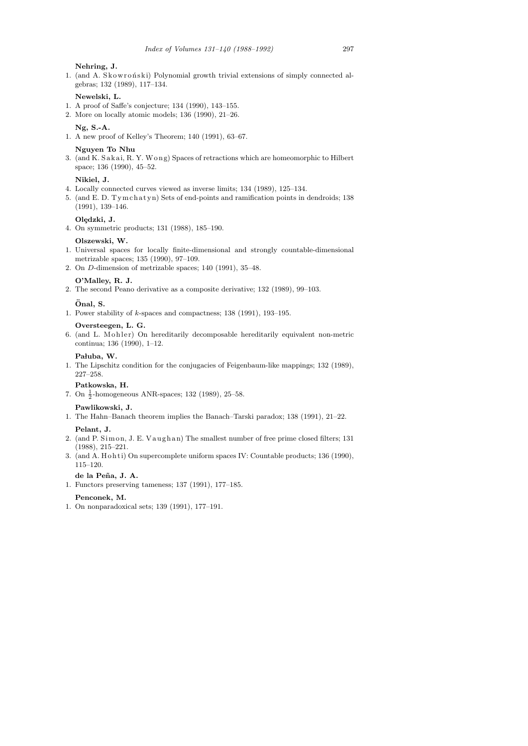#### **Nehring, J.**

1. (and A. Skowroński) Polynomial growth trivial extensions of simply connected algebras; 132 (1989), 117–134.

# **Newelski, L.**

- 1. A proof of Saffe's conjecture; 134 (1990), 143–155.
- 2. More on locally atomic models; 136 (1990), 21–26.

#### **Ng, S.-A.**

1. A new proof of Kelley's Theorem; 140 (1991), 63–67.

## **Nguyen To Nhu**

3. (and K. Sakai, R. Y. Wong) Spaces of retractions which are homeomorphic to Hilbert space; 136 (1990), 45–52.

#### **Nikiel, J.**

- 4. Locally connected curves viewed as inverse limits; 134 (1989), 125–134.
- 5. (and E. D. Tym chatyn) Sets of end-points and ramification points in dendroids; 138 (1991), 139–146.

## Olędzki, J.

4. On symmetric products; 131 (1988), 185–190.

#### **Olszewski, W.**

- 1. Universal spaces for locally finite-dimensional and strongly countable-dimensional metrizable spaces; 135 (1990), 97–109.
- 2. On D-dimension of metrizable spaces; 140 (1991), 35–48.

#### **O'Malley, R. J.**

2. The second Peano derivative as a composite derivative; 132 (1989), 99–103.

#### **Onal, S. ¨**

1. Power stability of k-spaces and compactness; 138 (1991), 193–195.

#### **Oversteegen, L. G.**

6. (and L. Mohler) On hereditarily decomposable hereditarily equivalent non-metric continua; 136 (1990), 1–12.

#### Pałuba, W.

1. The Lipschitz condition for the conjugacies of Feigenbaum-like mappings; 132 (1989), 227–258.

# **Patkowska, H.**

7. On  $\frac{1}{2}$ -homogeneous ANR-spaces; 132 (1989), 25–58.

#### **Pawlikowski, J.**

1. The Hahn–Banach theorem implies the Banach–Tarski paradox; 138 (1991), 21–22.

#### **Pelant, J.**

- 2. (and P. Simon, J. E. Vaughan) The smallest number of free prime closed filters; 131 (1988), 215–221.
- 3. (and A. Hohti) On supercomplete uniform spaces IV: Countable products; 136 (1990), 115–120.

**de la Pe˜na, J. A.**

1. Functors preserving tameness; 137 (1991), 177–185.

#### **Penconek, M.**

1. On nonparadoxical sets; 139 (1991), 177–191.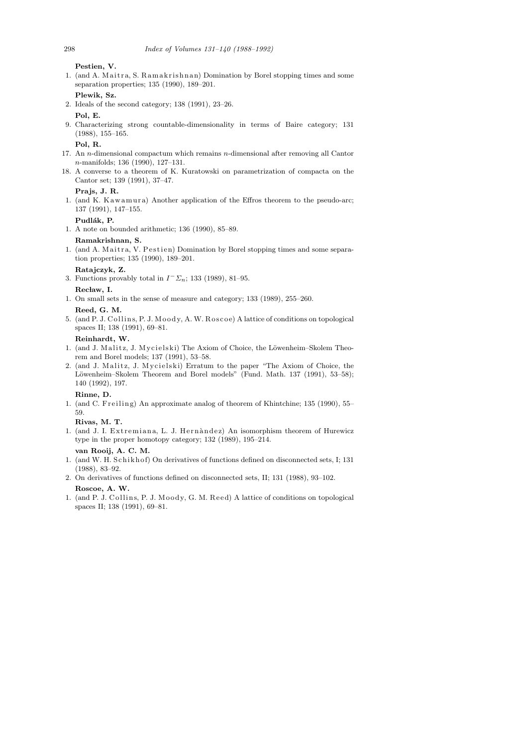**Pestien, V.**

1. (and A. Maitra, S. Ramakrishnan) Domination by Borel stopping times and some separation properties; 135 (1990), 189–201.

# **Plewik, Sz.**

2. Ideals of the second category; 138 (1991), 23–26.

#### **Pol, E.**

9. Characterizing strong countable-dimensionality in terms of Baire category; 131 (1988), 155–165.

# **Pol, R.**

- 17. An n-dimensional compactum which remains n-dimensional after removing all Cantor n-manifolds; 136 (1990), 127–131.
- 18. A converse to a theorem of K. Kuratowski on parametrization of compacta on the Cantor set; 139 (1991), 37–47.

# **Prajs, J. R.**

1. (and K. Kawamura) Another application of the Effros theorem to the pseudo-arc; 137 (1991), 147–155.

# Pudlák, P.

1. A note on bounded arithmetic; 136 (1990), 85–89.

#### **Ramakrishnan, S.**

1. (and A. Maitra, V. Pestien) Domination by Borel stopping times and some separation properties; 135 (1990), 189–201.

#### **Ratajczyk, Z.**

3. Functions provably total in  $I^- \Sigma_n$ ; 133 (1989), 81–95.

#### Recław, I.

- 1. On small sets in the sense of measure and category; 133 (1989), 255–260. **Reed, G. M.**
- 5. (and P. J. Collins, P. J. Moody, A. W. Roscoe) A lattice of conditions on topological spaces II; 138 (1991), 69–81.

#### **Reinhardt, W.**

- 1. (and J. Malitz, J. Mycielski) The Axiom of Choice, the Löwenheim–Skolem Theorem and Borel models; 137 (1991), 53–58.
- 2. (and J. Malitz, J. Mycielski) Erratum to the paper "The Axiom of Choice, the Löwenheim–Skolem Theorem and Borel models" (Fund. Math. 137 (1991), 53-58); 140 (1992), 197.

# **Rinne, D.**

1. (and C. Freiling) An approximate analog of theorem of Khintchine; 135 (1990), 55– 59.

# **Rivas, M. T.**

1. (and J. I. Extremiana, L. J. Hernandez) An isomorphism theorem of Hurewicz type in the proper homotopy category; 132 (1989), 195–214.

# **van Rooij, A. C. M.**

- 1. (and W. H. Schikhof) On derivatives of functions defined on disconnected sets, I; 131 (1988), 83–92.
- 2. On derivatives of functions defined on disconnected sets, II; 131 (1988), 93–102. **Roscoe, A. W.**
- 1. (and P. J. Collins, P. J. Moody, G. M. Reed) A lattice of conditions on topological spaces II; 138 (1991), 69–81.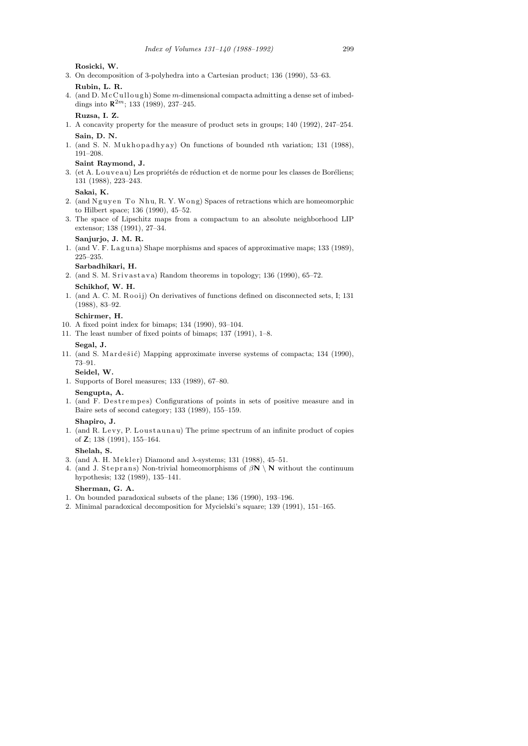**Rosicki, W.**

3. On decomposition of 3-polyhedra into a Cartesian product; 136 (1990), 53–63.

**Rubin, L. R.**

4. (and D.  $McC *u* l *low* o *u l low u l un l un un un un un un un un un un un un un un un un un un un un*$ dings into  $\mathbb{R}^{2m}$ ; 133 (1989), 237-245.

# **Ruzsa, I. Z.**

- 1. A concavity property for the measure of product sets in groups; 140 (1992), 247–254. **Sain, D. N.**
- 1. (and S. N. Mukhopadhyay) On functions of bounded nth variation; 131 (1988), 191–208.

### **Saint Raymond, J.**

3. (et A. Louveau) Les propriétés de réduction et de norme pour les classes de Boréliens; 131 (1988), 223–243.

# **Sakai, K.**

- 2. (and Nguyen To Nhu, R. Y. Wong) Spaces of retractions which are homeomorphic to Hilbert space; 136 (1990), 45–52.
- 3. The space of Lipschitz maps from a compactum to an absolute neighborhood LIP extensor; 138 (1991), 27–34.

# **Sanjurjo, J. M. R.**

1. (and V. F. Laguna) Shape morphisms and spaces of approximative maps; 133 (1989), 225–235.

# **Sarbadhikari, H.**

2. (and S. M. Srivastava) Random theorems in topology;  $136$  (1990),  $65-72$ .

# **Schikhof, W. H.**

1. (and A. C. M. Rooij) On derivatives of functions defined on disconnected sets, I; 131 (1988), 83–92.

# **Schirmer, H.**

- 10. A fixed point index for bimaps; 134 (1990), 93–104.
- 11. The least number of fixed points of bimaps; 137 (1991), 1–8.

#### **Segal, J.**

11. (and S. Mardešić) Mapping approximate inverse systems of compacta; 134 (1990), 73–91.

# **Seidel, W.**

1. Supports of Borel measures; 133 (1989), 67–80.

# **Sengupta, A.**

1. (and F. Destrempes) Configurations of points in sets of positive measure and in Baire sets of second category; 133 (1989), 155–159.

# **Shapiro, J.**

1. (and R. Levy, P. Loustaunau) The prime spectrum of an infinite product of copies of Z; 138 (1991), 155–164.

# **Shelah, S.**

- 3. (and A. H. Mekler) Diamond and  $\lambda$ -systems; 131 (1988), 45-51.
- 4. (and J. Steprans) Non-trivial homeomorphisms of  $\beta N \setminus N$  without the continuum hypothesis; 132 (1989), 135–141.

### **Sherman, G. A.**

- 1. On bounded paradoxical subsets of the plane; 136 (1990), 193–196.
- 2. Minimal paradoxical decomposition for Mycielski's square; 139 (1991), 151–165.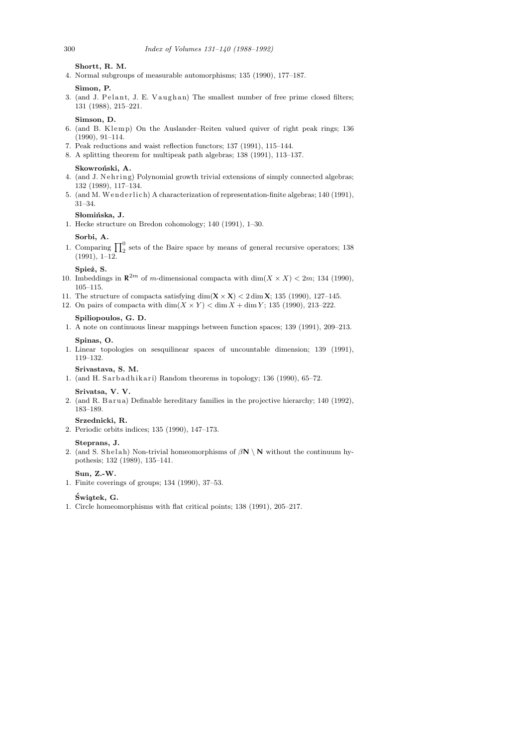**Shortt, R. M.**

4. Normal subgroups of measurable automorphisms; 135 (1990), 177–187.

#### **Simon, P.**

3. (and J. Pelant, J. E. Vaughan) The smallest number of free prime closed filters; 131 (1988), 215–221.

## **Simson, D.**

- 6. (and B. Klemp) On the Auslander–Reiten valued quiver of right peak rings; 136 (1990), 91–114.
- 7. Peak reductions and waist reflection functors; 137 (1991), 115–144.
- 8. A splitting theorem for multipeak path algebras; 138 (1991), 113–137.

#### Skowroński, A.

- 4. (and J. Nehring) Polynomial growth trivial extensions of simply connected algebras; 132 (1989), 117–134.
- 5. (and M. Wenderlich) A characterization of representation-finite algebras; 140 (1991), 31–34.

# Słomińska, J.

1. Hecke structure on Bredon cohomology; 140 (1991), 1–30.

#### **Sorbi, A.**

1. Comparing  $\prod_2^0$  sets of the Baire space by means of general recursive operators; 138 (1991), 1–12.

# Spież, S.

- 10. Imbeddings in  $\mathbb{R}^{2m}$  of m-dimensional compacta with  $\dim(X \times X) < 2m$ ; 134 (1990), 105–115.
- 11. The structure of compacta satisfying  $\dim(X \times X) < 2 \dim X$ ; 135 (1990), 127-145.
- 12. On pairs of compacta with  $\dim(X \times Y) < \dim X + \dim Y$ ; 135 (1990), 213–222.

# **Spiliopoulos, G. D.**

1. A note on continuous linear mappings between function spaces; 139 (1991), 209–213. **Spinas, O.**

1. Linear topologies on sesquilinear spaces of uncountable dimension; 139 (1991), 119–132.

# **Srivastava, S. M.**

1. (and H. Sarbadhikari) Random theorems in topology; 136 (1990), 65-72.

# **Srivatsa, V. V.**

2. (and R. Barua) Definable hereditary families in the projective hierarchy; 140 (1992), 183–189.

#### **Srzednicki, R.**

2. Periodic orbits indices; 135 (1990), 147–173.

#### **Steprans, J.**

2. (and S. Shelah) Non-trivial homeomorphisms of  $\beta N \setminus N$  without the continuum hypothesis; 132 (1989), 135–141.

# **Sun, Z.-W.**

1. Finite coverings of groups; 134 (1990), 37–53.

#### **Swi¸atek, G. ´**

1. Circle homeomorphisms with flat critical points; 138 (1991), 205–217.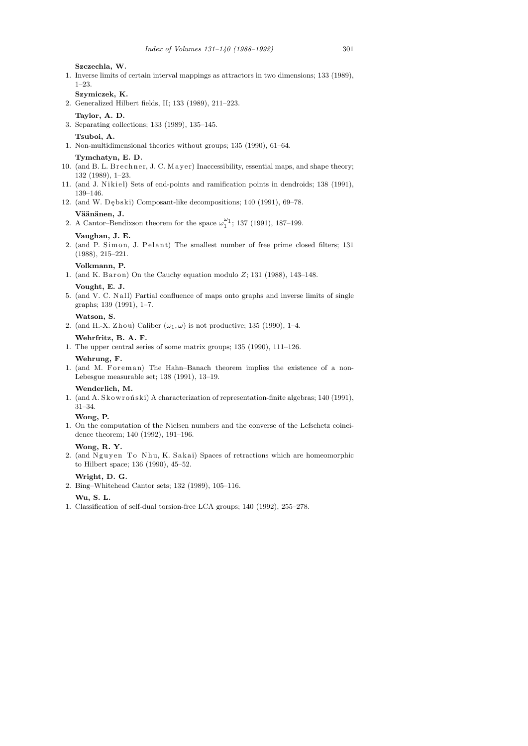**Szczechla, W.**

- 1. Inverse limits of certain interval mappings as attractors in two dimensions; 133 (1989), 1–23.
- **Szymiczek, K.**
- 2. Generalized Hilbert fields, II; 133 (1989), 211–223.
- **Taylor, A. D.**
- 3. Separating collections; 133 (1989), 135–145.
- **Tsuboi, A.**
- 1. Non-multidimensional theories without groups; 135 (1990), 61–64.
	- **Tymchatyn, E. D.**
- 10. (and B. L. B r e c h n e r, J. C. Ma y e r) Inaccessibility, essential maps, and shape theory; 132 (1989), 1–23.
- 11. (and J. Nikiel) Sets of end-points and ramification points in dendroids; 138 (1991), 139–146.
- 12. (and W. Dębski) Composant-like decompositions; 140 (1991), 69-78.

# Väänänen, J.

2. A Cantor–Bendixson theorem for the space  $\omega_1^{\omega_1}$ ; 137 (1991), 187–199.

# **Vaughan, J. E.**

2. (and P. Simon, J. Pelant) The smallest number of free prime closed filters; 131 (1988), 215–221.

## **Volkmann, P.**

1. (and K. Baron) On the Cauchy equation modulo  $Z$ ; 131 (1988), 143-148.

#### **Vought, E. J.**

5. (and V. C. N all) Partial confluence of maps onto graphs and inverse limits of single graphs; 139 (1991), 1–7.

# **Watson, S.**

2. (and H.-X. Zhou) Caliber  $(\omega_1, \omega)$  is not productive; 135 (1990), 1–4.

#### **Wehrfritz, B. A. F.**

1. The upper central series of some matrix groups; 135 (1990), 111–126.

## **Wehrung, F.**

1. (and M. Foreman) The Hahn–Banach theorem implies the existence of a non-Lebesgue measurable set; 138 (1991), 13–19.

#### **Wenderlich, M.**

1. (and A. Skowroński) A characterization of representation-finite algebras; 140 (1991), 31–34.

#### **Wong, P.**

1. On the computation of the Nielsen numbers and the converse of the Lefschetz coincidence theorem; 140 (1992), 191–196.

#### **Wong, R. Y.**

2. (and Nguyen To Nhu, K. Sakai) Spaces of retractions which are homeomorphic to Hilbert space; 136 (1990), 45–52.

#### **Wright, D. G.**

2. Bing–Whitehead Cantor sets; 132 (1989), 105–116.

# **Wu, S. L.**

1. Classification of self-dual torsion-free LCA groups; 140 (1992), 255–278.